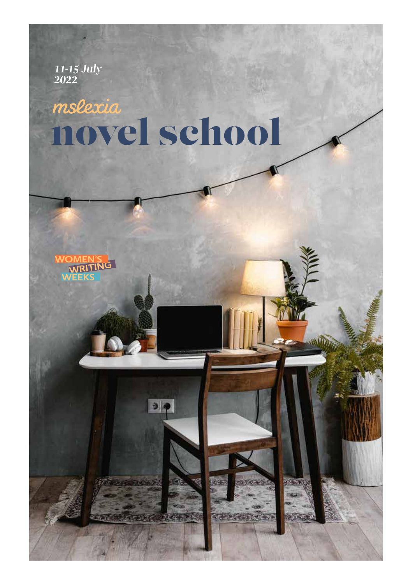*11-15 July 2022*

## mslexia novel school



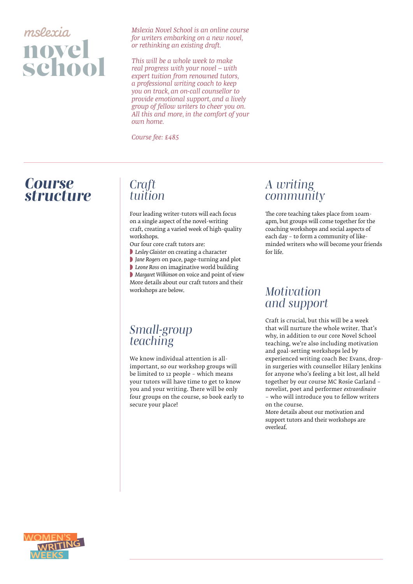

*Mslexia Novel School is an online course for writers embarking on a new novel, or rethinking an existing draft.* 

*This will be a whole week to make real progress with your novel – with expert tuition from renowned tutors, a professional writing coach to keep you on track, an on-call counsellor to provide emotional support, and a lively group of fellow writers to cheer you on. All this and more, in the comfort of your own home.*

*Course fee: £485*

## *Course structure Craft*

## *tuition*

Four leading writer-tutors will each focus on a single aspect of the novel-writing craft, creating a varied week of high-quality workshops.

Our four core craft tutors are:

- ◗ *Lesley Glaister* on creating a character
- ◗ *Jane Rogers* on pace, page-turning and plot
- ◗ *Leone Ross* on imaginative world building

◗ *Margaret Wilkinson* on voice and point of view More details about our craft tutors and their workshops are below.

## *Small-group teaching*

We know individual attention is allimportant, so our workshop groups will be limited to 12 people – which means your tutors will have time to get to know you and your writing. There will be only four groups on the course, so book early to secure your place!

### *A writing community*

The core teaching takes place from 10am-4pm, but groups will come together for the coaching workshops and social aspects of each day – to form a community of likeminded writers who will become your friends for life.

#### *Motivation and support*

Craft is crucial, but this will be a week that will nurture the whole writer. That's why, in addition to our core Novel School teaching, we're also including motivation and goal-setting workshops led by experienced writing coach Bec Evans, dropin surgeries with counsellor Hilary Jenkins for anyone who's feeling a bit lost, all held together by our course MC Rosie Garland – novelist, poet and performer *extraordinaire* – who will introduce you to fellow writers on the course.

More details about our motivation and support tutors and their workshops are overleaf.

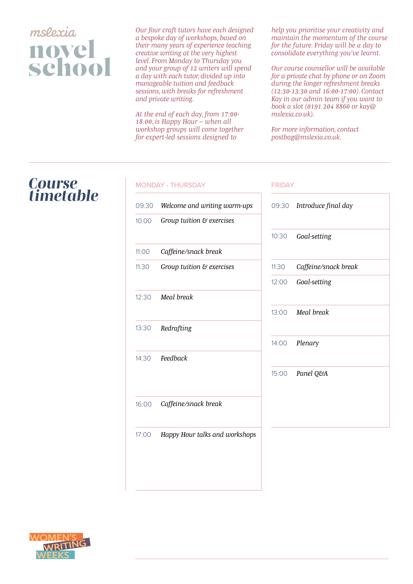## mslexia novel<br>school

*Our four craft tutors have each designed a bespoke day of workshops, based on their many years of experience teaching creative writing at the very highest level. From Monday to Thursday you and your group of 12 writers will spend a day with each tutor, divided up into manageable tuition and feedback sessions, with breaks for refreshment and private writing.* 

*At the end of each day, from 17:00- 18:00, is Happy Hour – when all workshop groups will come together for expert-led sessions designed to* 

*help you prioritise your creativity and maintain the momentum of the course for the future. Friday will be a day to consolidate everything you've learnt.*

*Our course counsellor will be available for a private chat by phone or on Zoom during the longer refreshment breaks (12:30-13:30 and 16:00-17:00). Contact Kay in our admin team if you want to book a slot (0191 204 8860 or kay@ mslexia.co.uk).*

*For more information, contact postbag@mslexia.co.uk.*

## *Course timetable*

#### MONDAY - THURSDAY 09:30 10.00 11:00 11:30 12:30 13:30 14:30 16:00 17:00 *Welcome and writing warm-ups Group tuition & exercises Caffeine/snack break Group tuition & exercises Meal break Redrafting Feedback Caffeine/snack break Happy Hour talks and workshops* 09:30 *Introduce final day* 10:30 11:30 12:00 13:00 14:00 15:00 *Goal-setting Caffeine/snack break Goal-setting Meal break Plenary Panel Q&A* FRIDAY

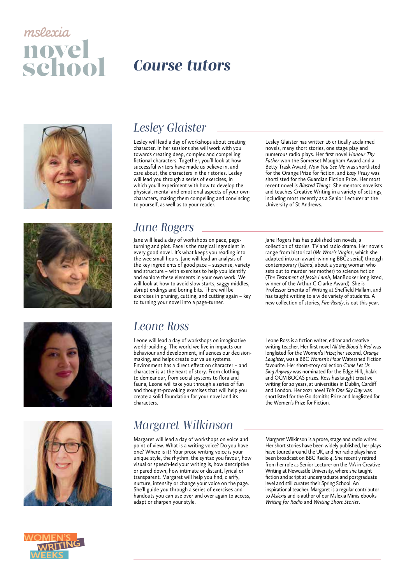# mslexia novel<br>school









## *Course tutors*

### *Lesley Glaister*

Lesley will lead a day of workshops about creating character. In her sessions she will work with you towards creating deep, complex and compelling fictional characters. Together, you'll look at how successful writers have made us believe in, and care about, the characters in their stories. Lesley will lead you through a series of exercises, in which you'll experiment with how to develop the physical, mental and emotional aspects of your own characters, making them compelling and convincing to yourself, as well as to your reader.

Lesley Glaister has written 16 critically acclaimed novels, many short stories, one stage play and numerous radio plays. Her first novel *Honour Thy Father* won the Somerset Maugham Award and a Betty Trask Award, *Now You See Me* was shortlisted for the Orange Prize for fiction, and *Easy Peasy* was shortlisted for the Guardian Fiction Prize. Her most recent novel is *Blasted Things*. She mentors novelists and teaches Creative Writing in a variety of settings, including most recently as a Senior Lecturer at the University of St Andrews.

### *Jane Rogers*

Jane will lead a day of workshops on pace, pageturning and plot. Pace is the magical ingredient in every good novel. It's what keeps you reading into the wee small hours. Jane will lead an analysis of the key ingredients of good pace – suspense, variety and structure – with exercises to help you identify and explore these elements in your own work. We will look at how to avoid slow starts, saggy middles, abrupt endings and boring bits. There will be exercises in pruning, cutting, and cutting again – key to turning your novel into a page-turner.

Jane Rogers has has published ten novels, a collection of stories, TV and radio drama. Her novels range from historical (*Mr Wroe's Virgins*, which she adapted into an award-winning BBC2 serial) through contemporary (*Island*, about a young woman who sets out to murder her mother) to science fiction (*The Testament of Jessie Lamb*, ManBooker longlisted, winner of the Arthur C Clarke Award). She is Professor Emerita of Writing at Sheffield Hallam, and has taught writing to a wide variety of students. A new collection of stories, *Fire-Ready*, is out this year.

## *Leone Ross*

Leone will lead a day of workshops on imaginative world-building. The world we live in impacts our behaviour and development, influences our decisionmaking, and helps create our value systems. Environment has a direct effect on character – and character is at the heart of story. From clothing to demeanour, from social systems to flora and fauna, Leone will take you through a series of fun and thought-provoking exercises that will help you create a solid foundation for your novel and its characters.

## *Margaret Wilkinson*

Margaret will lead a day of workshops on voice and point of view. What is a writing voice? Do you have one? Where is it? Your prose writing voice is your unique style, the rhythm, the syntax you favour, how visual or speech-led your writing is, how descriptive or pared down, how intimate or distant, lyrical or transparent. Margaret will help you find, clarify, nurture, intensify or change your voice on the page. She'll guide you through a series of exercises and handouts you can use over and over again to access, adapt or sharpen your style.

Leone Ross is a fiction writer, editor and creative writing teacher. Her first novel *All the Blood Is Red* was longlisted for the Women's Prize; her second, *Orange Laughter*, was a BBC *Women's Hour* Watershed Fiction favourite. Her short-story collection *Come Let Us Sing Anyway* was nominated for the Edge Hill, Jhalak and OCM BOCAS prizes. Ross has taught creative writing for 20 years, at universities in Dublin, Cardiff and London. Her 2021 novel *This One Sky Day* was shortlisted for the Goldsmiths Prize and longlisted for the Women's Prize for Fiction.

Margaret Wilkinson is a prose, stage and radio writer. Her short stories have been widely published, her plays have toured around the UK, and her radio plays have been broadcast on BBC Radio 4. She recently retired from her role as Senior Lecturer on the MA in Creative Writing at Newcastle University, where she taught fiction and script at undergraduate and postgraduate level and still curates their Spring School. An inspirational teacher, Margaret is a regular contributor to *Mslexia* and is author of our Mslexia Minis ebooks *Writing for Radio* and *Writing Short Stories*.